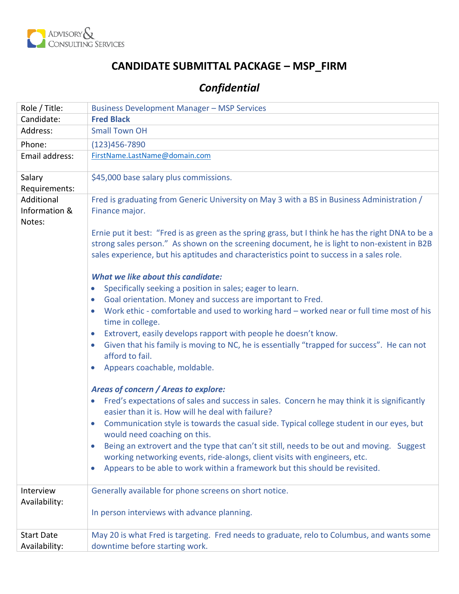

## **CANDIDATE SUBMITTAL PACKAGE – MSP\_FIRM**

# *Confidential*

| Role / Title:                         | <b>Business Development Manager - MSP Services</b>                                                                                                                                                                                                                                                                                                                                                                                                                                                                                                                                                                                                                                                                                                                                                                                                                                                                           |
|---------------------------------------|------------------------------------------------------------------------------------------------------------------------------------------------------------------------------------------------------------------------------------------------------------------------------------------------------------------------------------------------------------------------------------------------------------------------------------------------------------------------------------------------------------------------------------------------------------------------------------------------------------------------------------------------------------------------------------------------------------------------------------------------------------------------------------------------------------------------------------------------------------------------------------------------------------------------------|
| Candidate:                            | <b>Fred Black</b>                                                                                                                                                                                                                                                                                                                                                                                                                                                                                                                                                                                                                                                                                                                                                                                                                                                                                                            |
| Address:                              | <b>Small Town OH</b>                                                                                                                                                                                                                                                                                                                                                                                                                                                                                                                                                                                                                                                                                                                                                                                                                                                                                                         |
| Phone:                                | $(123)456 - 7890$                                                                                                                                                                                                                                                                                                                                                                                                                                                                                                                                                                                                                                                                                                                                                                                                                                                                                                            |
| Email address:                        | FirstName.LastName@domain.com                                                                                                                                                                                                                                                                                                                                                                                                                                                                                                                                                                                                                                                                                                                                                                                                                                                                                                |
| Salary<br>Requirements:               | \$45,000 base salary plus commissions.                                                                                                                                                                                                                                                                                                                                                                                                                                                                                                                                                                                                                                                                                                                                                                                                                                                                                       |
| Additional<br>Information &<br>Notes: | Fred is graduating from Generic University on May 3 with a BS in Business Administration /<br>Finance major.<br>Ernie put it best: "Fred is as green as the spring grass, but I think he has the right DNA to be a<br>strong sales person." As shown on the screening document, he is light to non-existent in B2B<br>sales experience, but his aptitudes and characteristics point to success in a sales role.<br><b>What we like about this candidate:</b><br>Specifically seeking a position in sales; eager to learn.<br>$\bullet$<br>Goal orientation. Money and success are important to Fred.<br>$\bullet$<br>Work ethic - comfortable and used to working hard - worked near or full time most of his<br>$\bullet$<br>time in college.<br>Extrovert, easily develops rapport with people he doesn't know.<br>$\bullet$<br>Given that his family is moving to NC, he is essentially "trapped for success". He can not |
|                                       | $\bullet$<br>afford to fail.<br>Appears coachable, moldable.<br>$\bullet$<br>Areas of concern / Areas to explore:<br>Fred's expectations of sales and success in sales. Concern he may think it is significantly<br>$\bullet$<br>easier than it is. How will he deal with failure?<br>Communication style is towards the casual side. Typical college student in our eyes, but<br>$\bullet$<br>would need coaching on this.<br>Being an extrovert and the type that can't sit still, needs to be out and moving. Suggest<br>$\bullet$<br>working networking events, ride-alongs, client visits with engineers, etc.<br>Appears to be able to work within a framework but this should be revisited.<br>$\bullet$                                                                                                                                                                                                              |
| Interview<br>Availability:            | Generally available for phone screens on short notice.                                                                                                                                                                                                                                                                                                                                                                                                                                                                                                                                                                                                                                                                                                                                                                                                                                                                       |
|                                       | In person interviews with advance planning.                                                                                                                                                                                                                                                                                                                                                                                                                                                                                                                                                                                                                                                                                                                                                                                                                                                                                  |
| <b>Start Date</b>                     | May 20 is what Fred is targeting. Fred needs to graduate, relo to Columbus, and wants some                                                                                                                                                                                                                                                                                                                                                                                                                                                                                                                                                                                                                                                                                                                                                                                                                                   |
| Availability:                         | downtime before starting work.                                                                                                                                                                                                                                                                                                                                                                                                                                                                                                                                                                                                                                                                                                                                                                                                                                                                                               |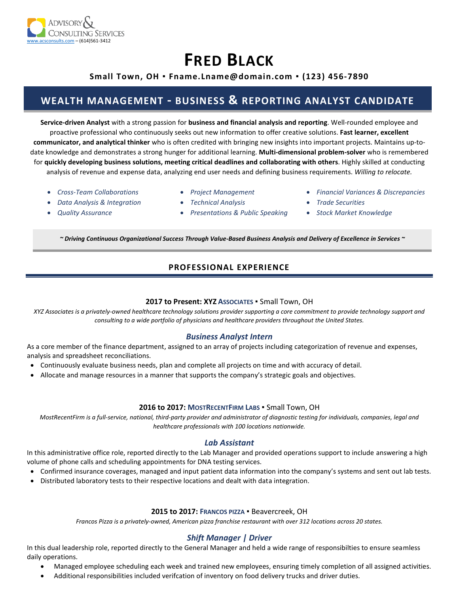

# **FRED BLACK**

#### **Small Town, OH ▪ Fname.Lname@domain.com ▪ (123) 456-7890**

### **WEALTH MANAGEMENT - BUSINESS & REPORTING ANALYST CANDIDATE**

**Service-driven Analyst** with a strong passion for **business and financial analysis and reporting**. Well-rounded employee and proactive professional who continuously seeks out new information to offer creative solutions. **Fast learner, excellent communicator, and analytical thinker** who is often credited with bringing new insights into important projects. Maintains up-todate knowledge and demonstrates a strong hunger for additional learning. **Multi-dimensional problem-solver** who is remembered for **quickly developing business solutions, meeting critical deadlines and collaborating with others**. Highly skilled at conducting analysis of revenue and expense data, analyzing end user needs and defining business requirements. *Willing to relocate.*

- *Cross-Team Collaborations*
- *Project Management*
- *Financial Variances & Discrepancies*
- *Data Analysis & Integration*
- *Quality Assurance*
- *Technical Analysis*
- *Presentations & Public Speaking*
- 
- *Trade Securities*
- *Stock Market Knowledge*

*~ Driving Continuous Organizational Success Through Value-Based Business Analysis and Delivery of Excellence in Services ~*

#### **PROFESSIONAL EXPERIENCE**

#### **2017 to Present: XYZ ASSOCIATES** ▪ Small Town, OH

*XYZ Associates is a privately-owned healthcare technology solutions provider supporting a core commitment to provide technology support and consulting to a wide portfolio of physicians and healthcare providers throughout the United States.*

#### *Business Analyst Intern*

As a core member of the finance department, assigned to an array of projects including categorization of revenue and expenses, analysis and spreadsheet reconciliations.

- Continuously evaluate business needs, plan and complete all projects on time and with accuracy of detail.
- Allocate and manage resources in a manner that supports the company's strategic goals and objectives.

#### **2016 to 2017: MOSTRECENTFIRM LABS** ▪ Small Town, OH

*MostRecentFirm is a full-service, national, third-party provider and administrator of diagnostic testing for individuals, companies, legal and healthcare professionals with 100 locations nationwide.* 

#### *Lab Assistant*

In this administrative office role, reported directly to the Lab Manager and provided operations support to include answering a high volume of phone calls and scheduling appointments for DNA testing services.

- Confirmed insurance coverages, managed and input patient data information into the company's systems and sent out lab tests.
- Distributed laboratory tests to their respective locations and dealt with data integration.

#### **2015 to 2017: FRANCOS PIZZA** ▪ Beavercreek, OH

*Francos Pizza is a privately-owned, American pizza franchise restaurant with over 312 locations across 20 states.* 

#### *Shift Manager | Driver*

In this dual leadership role, reported directly to the General Manager and held a wide range of responsibilties to ensure seamless daily operations.

- Managed employee scheduling each week and trained new employees, ensuring timely completion of all assigned activities.
	- Additional responsibilities included verifcation of inventory on food delivery trucks and driver duties.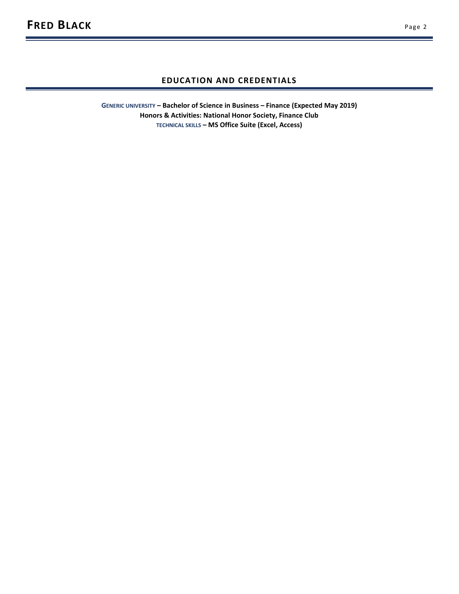#### **EDUCATION AND CREDENTIALS**

**GENERIC UNIVERSITY – Bachelor of Science in Business – Finance (Expected May 2019) Honors & Activities: National Honor Society, Finance Club TECHNICAL SKILLS – MS Office Suite (Excel, Access)**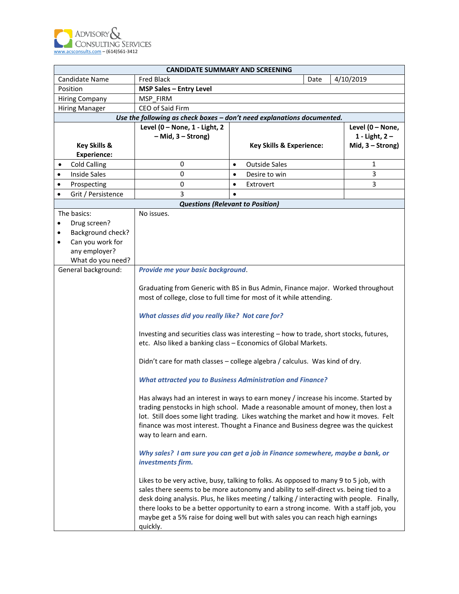

|                | <b>CANDIDATE SUMMARY AND SCREENING</b> |                                                                                                                                                                                                                                                                                                                                                                                                                                                                  |           |                                     |  |                    |
|----------------|----------------------------------------|------------------------------------------------------------------------------------------------------------------------------------------------------------------------------------------------------------------------------------------------------------------------------------------------------------------------------------------------------------------------------------------------------------------------------------------------------------------|-----------|-------------------------------------|--|--------------------|
| Candidate Name |                                        | <b>Fred Black</b>                                                                                                                                                                                                                                                                                                                                                                                                                                                |           | Date                                |  | 4/10/2019          |
|                | Position                               | <b>MSP Sales - Entry Level</b>                                                                                                                                                                                                                                                                                                                                                                                                                                   |           |                                     |  |                    |
|                | Hiring Company                         | MSP FIRM                                                                                                                                                                                                                                                                                                                                                                                                                                                         |           |                                     |  |                    |
|                | <b>Hiring Manager</b>                  | CEO of Said Firm                                                                                                                                                                                                                                                                                                                                                                                                                                                 |           |                                     |  |                    |
|                |                                        | Use the following as check boxes - don't need explanations documented.                                                                                                                                                                                                                                                                                                                                                                                           |           |                                     |  |                    |
|                |                                        | Level (0 - None, 1 - Light, 2                                                                                                                                                                                                                                                                                                                                                                                                                                    |           |                                     |  | Level (0 - None,   |
|                |                                        | $-$ Mid, $3 -$ Strong)                                                                                                                                                                                                                                                                                                                                                                                                                                           |           |                                     |  | 1 - Light, $2 -$   |
|                | <b>Key Skills &amp;</b>                |                                                                                                                                                                                                                                                                                                                                                                                                                                                                  |           | <b>Key Skills &amp; Experience:</b> |  | Mid, $3 -$ Strong) |
|                | <b>Experience:</b>                     |                                                                                                                                                                                                                                                                                                                                                                                                                                                                  |           |                                     |  |                    |
| ٠              | <b>Cold Calling</b>                    | 0                                                                                                                                                                                                                                                                                                                                                                                                                                                                | $\bullet$ | <b>Outside Sales</b>                |  | 1                  |
| $\bullet$      | <b>Inside Sales</b>                    | 0                                                                                                                                                                                                                                                                                                                                                                                                                                                                | $\bullet$ | Desire to win                       |  | 3                  |
| ٠              | Prospecting                            | 0                                                                                                                                                                                                                                                                                                                                                                                                                                                                | $\bullet$ | Extrovert                           |  | 3                  |
| $\bullet$      | Grit / Persistence                     | 3                                                                                                                                                                                                                                                                                                                                                                                                                                                                | $\bullet$ |                                     |  |                    |
|                |                                        | <b>Questions (Relevant to Position)</b>                                                                                                                                                                                                                                                                                                                                                                                                                          |           |                                     |  |                    |
|                | The basics:                            | No issues.                                                                                                                                                                                                                                                                                                                                                                                                                                                       |           |                                     |  |                    |
|                | Drug screen?                           |                                                                                                                                                                                                                                                                                                                                                                                                                                                                  |           |                                     |  |                    |
| ٠              | Background check?                      |                                                                                                                                                                                                                                                                                                                                                                                                                                                                  |           |                                     |  |                    |
| $\bullet$      | Can you work for                       |                                                                                                                                                                                                                                                                                                                                                                                                                                                                  |           |                                     |  |                    |
|                | any employer?                          |                                                                                                                                                                                                                                                                                                                                                                                                                                                                  |           |                                     |  |                    |
|                | What do you need?                      |                                                                                                                                                                                                                                                                                                                                                                                                                                                                  |           |                                     |  |                    |
|                | General background:                    | Provide me your basic background<br>Graduating from Generic with BS in Bus Admin, Finance major. Worked throughout                                                                                                                                                                                                                                                                                                                                               |           |                                     |  |                    |
|                |                                        | most of college, close to full time for most of it while attending.                                                                                                                                                                                                                                                                                                                                                                                              |           |                                     |  |                    |
|                |                                        | What classes did you really like? Not care for?                                                                                                                                                                                                                                                                                                                                                                                                                  |           |                                     |  |                    |
|                |                                        | Investing and securities class was interesting - how to trade, short stocks, futures,<br>etc. Also liked a banking class - Economics of Global Markets.                                                                                                                                                                                                                                                                                                          |           |                                     |  |                    |
|                |                                        | Didn't care for math classes - college algebra / calculus. Was kind of dry.                                                                                                                                                                                                                                                                                                                                                                                      |           |                                     |  |                    |
|                |                                        | <b>What attracted you to Business Administration and Finance?</b>                                                                                                                                                                                                                                                                                                                                                                                                |           |                                     |  |                    |
|                |                                        | Has always had an interest in ways to earn money / increase his income. Started by<br>trading penstocks in high school. Made a reasonable amount of money, then lost a<br>lot. Still does some light trading. Likes watching the market and how it moves. Felt<br>finance was most interest. Thought a Finance and Business degree was the quickest<br>way to learn and earn.                                                                                    |           |                                     |  |                    |
|                |                                        | Why sales? I am sure you can get a job in Finance somewhere, maybe a bank, or<br>investments firm.                                                                                                                                                                                                                                                                                                                                                               |           |                                     |  |                    |
|                |                                        | Likes to be very active, busy, talking to folks. As opposed to many 9 to 5 job, with<br>sales there seems to be more autonomy and ability to self-direct vs. being tied to a<br>desk doing analysis. Plus, he likes meeting / talking / interacting with people. Finally,<br>there looks to be a better opportunity to earn a strong income. With a staff job, you<br>maybe get a 5% raise for doing well but with sales you can reach high earnings<br>quickly. |           |                                     |  |                    |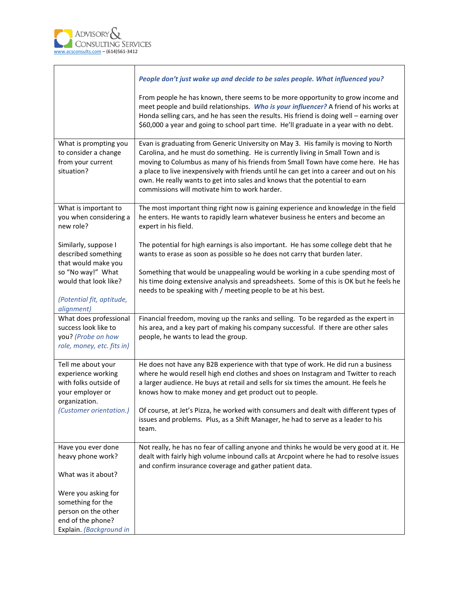$\Gamma$ 

|                                                                                                                 | People don't just wake up and decide to be sales people. What influenced you?                                                                                                                                                                                                                                                                                                                                                                                                         |
|-----------------------------------------------------------------------------------------------------------------|---------------------------------------------------------------------------------------------------------------------------------------------------------------------------------------------------------------------------------------------------------------------------------------------------------------------------------------------------------------------------------------------------------------------------------------------------------------------------------------|
|                                                                                                                 | From people he has known, there seems to be more opportunity to grow income and<br>meet people and build relationships. Who is your influencer? A friend of his works at<br>Honda selling cars, and he has seen the results. His friend is doing well - earning over<br>\$60,000 a year and going to school part time. He'll graduate in a year with no debt.                                                                                                                         |
| What is prompting you<br>to consider a change<br>from your current<br>situation?                                | Evan is graduating from Generic University on May 3. His family is moving to North<br>Carolina, and he must do something. He is currently living in Small Town and is<br>moving to Columbus as many of his friends from Small Town have come here. He has<br>a place to live inexpensively with friends until he can get into a career and out on his<br>own. He really wants to get into sales and knows that the potential to earn<br>commissions will motivate him to work harder. |
| What is important to<br>you when considering a<br>new role?                                                     | The most important thing right now is gaining experience and knowledge in the field<br>he enters. He wants to rapidly learn whatever business he enters and become an<br>expert in his field.                                                                                                                                                                                                                                                                                         |
| Similarly, suppose I<br>described something<br>that would make you                                              | The potential for high earnings is also important. He has some college debt that he<br>wants to erase as soon as possible so he does not carry that burden later.                                                                                                                                                                                                                                                                                                                     |
| so "No way!" What<br>would that look like?<br>(Potential fit, aptitude,<br>alignment)                           | Something that would be unappealing would be working in a cube spending most of<br>his time doing extensive analysis and spreadsheets. Some of this is OK but he feels he<br>needs to be speaking with / meeting people to be at his best.                                                                                                                                                                                                                                            |
| What does professional<br>success look like to<br>you? (Probe on how<br>role, money, etc. fits in)              | Financial freedom, moving up the ranks and selling. To be regarded as the expert in<br>his area, and a key part of making his company successful. If there are other sales<br>people, he wants to lead the group.                                                                                                                                                                                                                                                                     |
| Tell me about your<br>experience working<br>with folks outside of<br>your employer or<br>organization.          | He does not have any B2B experience with that type of work. He did run a business<br>where he would resell high end clothes and shoes on Instagram and Twitter to reach<br>a larger audience. He buys at retail and sells for six times the amount. He feels he<br>knows how to make money and get product out to people.                                                                                                                                                             |
| (Customer orientation.)                                                                                         | Of course, at Jet's Pizza, he worked with consumers and dealt with different types of<br>issues and problems. Plus, as a Shift Manager, he had to serve as a leader to his<br>team.                                                                                                                                                                                                                                                                                                   |
| Have you ever done<br>heavy phone work?<br>What was it about?                                                   | Not really, he has no fear of calling anyone and thinks he would be very good at it. He<br>dealt with fairly high volume inbound calls at Arcpoint where he had to resolve issues<br>and confirm insurance coverage and gather patient data.                                                                                                                                                                                                                                          |
| Were you asking for<br>something for the<br>person on the other<br>end of the phone?<br>Explain. (Background in |                                                                                                                                                                                                                                                                                                                                                                                                                                                                                       |

٦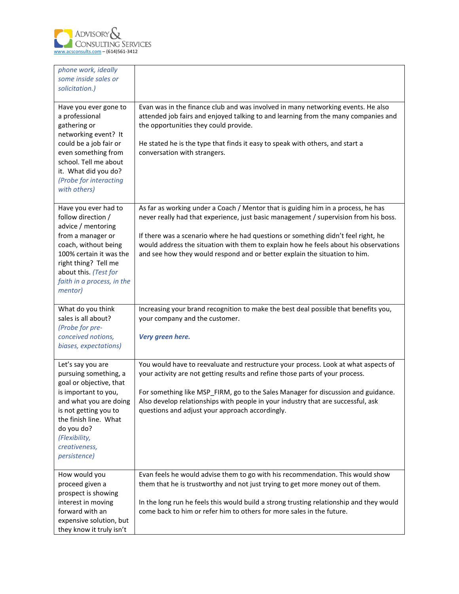

| phone work, ideally<br>some inside sales or<br>solicitation.)                                                                                                                                                                             |                                                                                                                                                                                                                                                                                                                                                                                                                                      |
|-------------------------------------------------------------------------------------------------------------------------------------------------------------------------------------------------------------------------------------------|--------------------------------------------------------------------------------------------------------------------------------------------------------------------------------------------------------------------------------------------------------------------------------------------------------------------------------------------------------------------------------------------------------------------------------------|
| Have you ever gone to<br>a professional<br>gathering or<br>networking event? It<br>could be a job fair or<br>even something from<br>school. Tell me about<br>it. What did you do?<br>(Probe for interacting<br>with others)               | Evan was in the finance club and was involved in many networking events. He also<br>attended job fairs and enjoyed talking to and learning from the many companies and<br>the opportunities they could provide.<br>He stated he is the type that finds it easy to speak with others, and start a<br>conversation with strangers.                                                                                                     |
| Have you ever had to<br>follow direction /<br>advice / mentoring<br>from a manager or<br>coach, without being<br>100% certain it was the<br>right thing? Tell me<br>about this. (Test for<br>faith in a process, in the<br>mentor)        | As far as working under a Coach / Mentor that is guiding him in a process, he has<br>never really had that experience, just basic management / supervision from his boss.<br>If there was a scenario where he had questions or something didn't feel right, he<br>would address the situation with them to explain how he feels about his observations<br>and see how they would respond and or better explain the situation to him. |
| What do you think<br>sales is all about?<br>(Probe for pre-<br>conceived notions,<br>biases, expectations)                                                                                                                                | Increasing your brand recognition to make the best deal possible that benefits you,<br>your company and the customer.<br>Very green here.                                                                                                                                                                                                                                                                                            |
| Let's say you are<br>pursuing something, a<br>goal or objective, that<br>is important to you,<br>and what you are doing<br>is not getting you to<br>the finish line. What<br>do you do?<br>(Flexibility,<br>creativeness,<br>persistence) | You would have to reevaluate and restructure your process. Look at what aspects of<br>your activity are not getting results and refine those parts of your process.<br>For something like MSP_FIRM, go to the Sales Manager for discussion and guidance.<br>Also develop relationships with people in your industry that are successful, ask<br>questions and adjust your approach accordingly.                                      |
| How would you<br>proceed given a<br>prospect is showing<br>interest in moving<br>forward with an<br>expensive solution, but<br>they know it truly isn't                                                                                   | Evan feels he would advise them to go with his recommendation. This would show<br>them that he is trustworthy and not just trying to get more money out of them.<br>In the long run he feels this would build a strong trusting relationship and they would<br>come back to him or refer him to others for more sales in the future.                                                                                                 |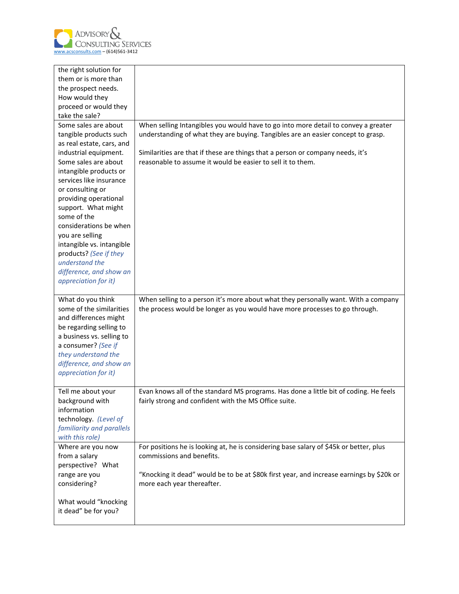

| the right solution for<br>them or is more than<br>the prospect needs.<br>How would they<br>proceed or would they                                                                                                                                                                                                                                                                                                                              |                                                                                                                                                                                                                                                                                                                         |
|-----------------------------------------------------------------------------------------------------------------------------------------------------------------------------------------------------------------------------------------------------------------------------------------------------------------------------------------------------------------------------------------------------------------------------------------------|-------------------------------------------------------------------------------------------------------------------------------------------------------------------------------------------------------------------------------------------------------------------------------------------------------------------------|
| take the sale?                                                                                                                                                                                                                                                                                                                                                                                                                                |                                                                                                                                                                                                                                                                                                                         |
| Some sales are about<br>tangible products such<br>as real estate, cars, and<br>industrial equipment.<br>Some sales are about<br>intangible products or<br>services like insurance<br>or consulting or<br>providing operational<br>support. What might<br>some of the<br>considerations be when<br>you are selling<br>intangible vs. intangible<br>products? (See if they<br>understand the<br>difference, and show an<br>appreciation for it) | When selling Intangibles you would have to go into more detail to convey a greater<br>understanding of what they are buying. Tangibles are an easier concept to grasp.<br>Similarities are that if these are things that a person or company needs, it's<br>reasonable to assume it would be easier to sell it to them. |
| What do you think<br>some of the similarities<br>and differences might<br>be regarding selling to<br>a business vs. selling to<br>a consumer? (See if<br>they understand the<br>difference, and show an<br>appreciation for it)                                                                                                                                                                                                               | When selling to a person it's more about what they personally want. With a company<br>the process would be longer as you would have more processes to go through.                                                                                                                                                       |
| Tell me about your<br>background with<br>information<br>technology. (Level of<br>familiarity and parallels<br>with this role)                                                                                                                                                                                                                                                                                                                 | Evan knows all of the standard MS programs. Has done a little bit of coding. He feels<br>fairly strong and confident with the MS Office suite.                                                                                                                                                                          |
| Where are you now<br>from a salary<br>perspective? What                                                                                                                                                                                                                                                                                                                                                                                       | For positions he is looking at, he is considering base salary of \$45k or better, plus<br>commissions and benefits.                                                                                                                                                                                                     |
| range are you<br>considering?<br>What would "knocking<br>it dead" be for you?                                                                                                                                                                                                                                                                                                                                                                 | "Knocking it dead" would be to be at \$80k first year, and increase earnings by \$20k or<br>more each year thereafter.                                                                                                                                                                                                  |